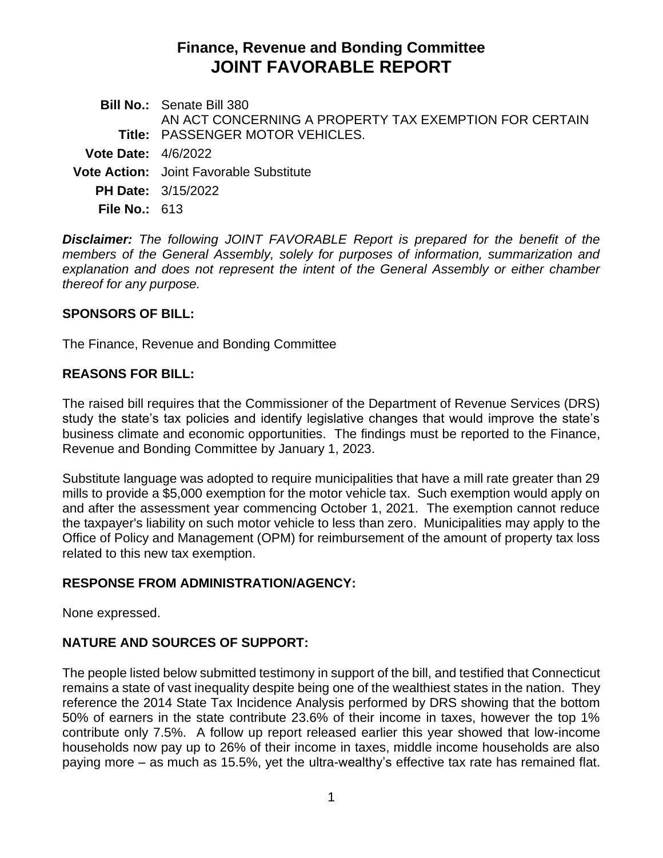# **Finance, Revenue and Bonding Committee JOINT FAVORABLE REPORT**

**Bill No.:** Senate Bill 380 **Title:** PASSENGER MOTOR VEHICLES. AN ACT CONCERNING A PROPERTY TAX EXEMPTION FOR CERTAIN **Vote Date:** 4/6/2022 **Vote Action:** Joint Favorable Substitute **PH Date:** 3/15/2022 **File No.:** 613

*Disclaimer: The following JOINT FAVORABLE Report is prepared for the benefit of the members of the General Assembly, solely for purposes of information, summarization and explanation and does not represent the intent of the General Assembly or either chamber thereof for any purpose.*

#### **SPONSORS OF BILL:**

The Finance, Revenue and Bonding Committee

## **REASONS FOR BILL:**

The raised bill requires that the Commissioner of the Department of Revenue Services (DRS) study the state's tax policies and identify legislative changes that would improve the state's business climate and economic opportunities. The findings must be reported to the Finance, Revenue and Bonding Committee by January 1, 2023.

Substitute language was adopted to require municipalities that have a mill rate greater than 29 mills to provide a \$5,000 exemption for the motor vehicle tax. Such exemption would apply on and after the assessment year commencing October 1, 2021. The exemption cannot reduce the taxpayer's liability on such motor vehicle to less than zero. Municipalities may apply to the Office of Policy and Management (OPM) for reimbursement of the amount of property tax loss related to this new tax exemption.

## **RESPONSE FROM ADMINISTRATION/AGENCY:**

None expressed.

## **NATURE AND SOURCES OF SUPPORT:**

The people listed below submitted testimony in support of the bill, and testified that Connecticut remains a state of vast inequality despite being one of the wealthiest states in the nation. They reference the 2014 State Tax Incidence Analysis performed by DRS showing that the bottom 50% of earners in the state contribute 23.6% of their income in taxes, however the top 1% contribute only 7.5%. A follow up report released earlier this year showed that low-income households now pay up to 26% of their income in taxes, middle income households are also paying more – as much as 15.5%, yet the ultra-wealthy's effective tax rate has remained flat.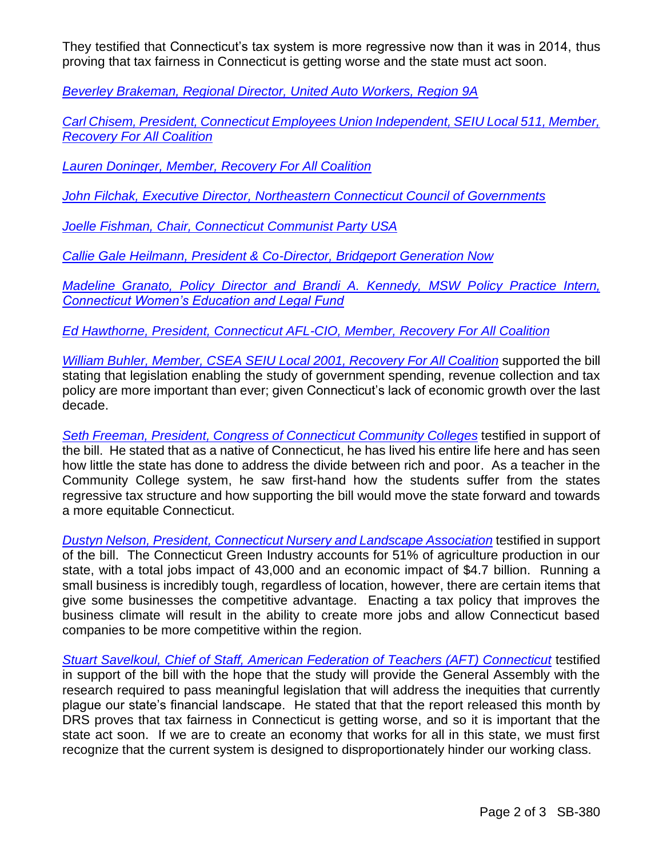They testified that Connecticut's tax system is more regressive now than it was in 2014, thus proving that tax fairness in Connecticut is getting worse and the state must act soon.

*[Beverley Brakeman, Regional Director, United Auto Workers, Region 9A](https://cga.ct.gov/2022/FINdata/Tmy/2022SB-00380-R000315-Brakeman,%20Beverley,%20Regional%20Director,%20United%20Auto%20Workers,%20Region%209A%20-%20Support-TMY.PDF)*

*[Carl Chisem, President, Connecticut Employees Union Independent, SEIU Local 511, Member,](https://cga.ct.gov/2022/FINdata/Tmy/2022SB-00380-R000315-Chisem,%20Carl,%20President,%20CEUI,%20SEIU%20Local%20511%20-%20Support-TMY.PDF)  [Recovery For All Coalition](https://cga.ct.gov/2022/FINdata/Tmy/2022SB-00380-R000315-Chisem,%20Carl,%20President,%20CEUI,%20SEIU%20Local%20511%20-%20Support-TMY.PDF)*

*[Lauren Doninger, Member, Recovery For All Coalition](https://cga.ct.gov/2022/FINdata/Tmy/2022SB-00380-R000315-Doninger,%20Lauren,%20Member,%20Recovery%20For%20All%20-%20Support-TMY.PDF)*

*[John Filchak, Executive Director, Northeastern](https://cga.ct.gov/2022/FINdata/Tmy/2022SB-00380-R000315-Filchak,%20John,%20Executive%20Director,%20Northeastern%20Connecticut%20Council%20of%20Governments%20-%20Support-TMY.PDF) Connecticut Council of Governments*

*[Joelle Fishman, Chair, Connecticut Communist Party USA](https://cga.ct.gov/2022/FINdata/Tmy/2022SB-00380-R000315-Fishman,%20Joelle,%20Chair,%20Connecticut%20Communist%20Party%20USA%20-%20Support-TMY.PDF)*

*[Callie Gale Heilmann, President & Co-Director, Bridgeport Generation Now](https://cga.ct.gov/2022/FINdata/Tmy/2022SB-00380-R000315-Gale%20Helimann,%20Callie,%20President%20and%20Co-Director,%20Bridgeport%20Generation%20Now%20-%20Support-TMY.PDF)*

*[Madeline Granato, Policy Director and Brandi A. Kennedy, MSW Policy Practice Intern,](https://cga.ct.gov/2022/FINdata/Tmy/2022SB-00380-R000315-Granato,%20Madeline,%20Policy%20Director,%20Connecticut%20Women%27s%20Education%20and%20Legal%20Fund%20-%20Support-TMY.PDF)  [Connecticut Women's Education and Legal Fund](https://cga.ct.gov/2022/FINdata/Tmy/2022SB-00380-R000315-Granato,%20Madeline,%20Policy%20Director,%20Connecticut%20Women%27s%20Education%20and%20Legal%20Fund%20-%20Support-TMY.PDF)*

*Ed Hawthorne, President, Connecticut AFL-CIO, [Member, Recovery For All Coalition](https://cga.ct.gov/2022/FINdata/Tmy/2022SB-00380-R000315-Hawthorne,%20Ed,%20President,%20Connecticut%20AFL-CIO,%20Member,%20Recovery%20For%20All%20Coalition%20-%20Support-TMY.PDF)*

*[William Buhler, Member, CSEA SEIU Local 2001,](https://cga.ct.gov/2022/FINdata/Tmy/2022SB-00380-R000315-Buhler,%20William,%20Member,%20CSEA%20and%20Recovery%20For%20All%20-%20Support-TMY.PDF) Recovery For All Coalition* supported the bill stating that legislation enabling the study of government spending, revenue collection and tax policy are more important than ever; given Connecticut's lack of economic growth over the last decade.

*[Seth Freeman, President, Congress of Connecticut Community Colleges](https://cga.ct.gov/2022/FINdata/Tmy/2022SB-00380-R000315-Freeman,%20Seth,%20President,%20Congress%20of%20Connecticut%20Community%20Colleges%20-%20Support-TMY.PDF)* testified in support of the bill. He stated that as a native of Connecticut, he has lived his entire life here and has seen how little the state has done to address the divide between rich and poor. As a teacher in the Community College system, he saw first‐hand how the students suffer from the states regressive tax structure and how supporting the bill would move the state forward and towards a more equitable Connecticut.

*Dustyn Nelson, President, [Connecticut Nursery and Landscape Association](https://cga.ct.gov/2022/FINdata/Tmy/2022SB-00380-R000315-Nelson,%20Dustyn,%20President,%20Connecticut%20Nursery%20and%20Landscape%20Association%20-%20Support-TMY.PDF)* testified in support of the bill. The Connecticut Green Industry accounts for 51% of agriculture production in our state, with a total jobs impact of 43,000 and an economic impact of \$4.7 billion. Running a small business is incredibly tough, regardless of location, however, there are certain items that give some businesses the competitive advantage. Enacting a tax policy that improves the business climate will result in the ability to create more jobs and allow Connecticut based companies to be more competitive within the region.

*[Stuart Savelkoul, Chief of Staff, American Federation of Teachers \(AFT\) Connecticut](https://cga.ct.gov/2022/FINdata/Tmy/2022SB-00380-R000315-Savelkoul,%20Stuart,%20Chief%20Of%20Staff,%20AFT%20CT%20-%20Support-TMY.PDF)* testified in support of the bill with the hope that the study will provide the General Assembly with the research required to pass meaningful legislation that will address the inequities that currently plague our state's financial landscape. He stated that that the report released this month by DRS proves that tax fairness in Connecticut is getting worse, and so it is important that the state act soon. If we are to create an economy that works for all in this state, we must first recognize that the current system is designed to disproportionately hinder our working class.